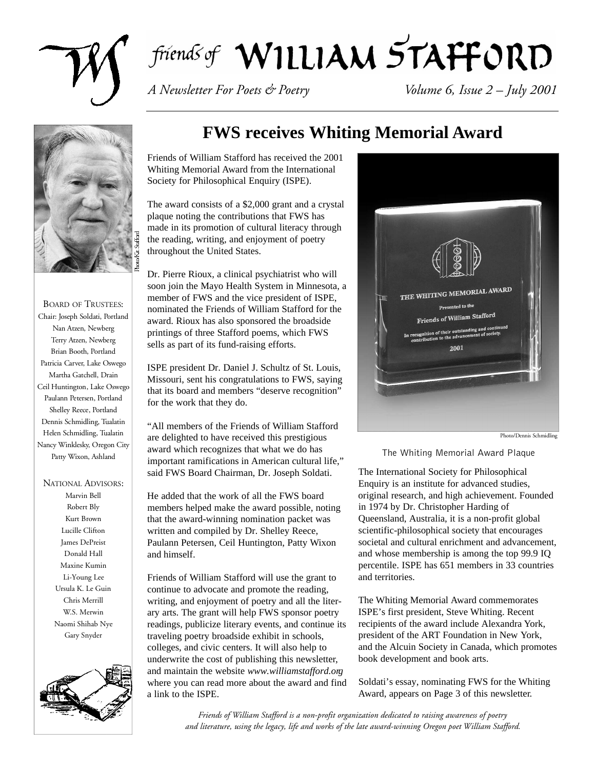

# friends of WILLIAM STAFFORD

*A Newsletter For Poets & Poetry Volume 6, Issue 2 – July 2001*



BOARD OF TRUSTEES: Chair: Joseph Soldati, Portland Nan Atzen, Newberg Terry Atzen, Newberg Brian Booth, Portland Patricia Carver, Lake Oswego Martha Gatchell, Drain Ceil Huntington, Lake Oswego Paulann Petersen, Portland Shelley Reece, Portland Dennis Schmidling, Tualatin Helen Schmidling, Tualatin Nancy Winklesky, Oregon City Patty Wixon, Ashland

NATIONAL ADVISORS: Marvin Bell Robert Bly Kurt Brown Lucille Clifton James DePreist Donald Hall Maxine Kumin Li-Young Lee Ursula K. Le Guin Chris Merrill W.S. Merwin Naomi Shihab Nye Gary Snyder



# **FWS receives Whiting Memorial Award**

Friends of William Stafford has received the 2001 Whiting Memorial Award from the International Society for Philosophical Enquiry (ISPE).

The award consists of a \$2,000 grant and a crystal plaque noting the contributions that FWS has made in its promotion of cultural literacy through the reading, writing, and enjoyment of poetry throughout the United States.

Dr. Pierre Rioux, a clinical psychiatrist who will soon join the Mayo Health System in Minnesota, a member of FWS and the vice president of ISPE, nominated the Friends of William Stafford for the award. Rioux has also sponsored the broadside printings of three Stafford poems, which FWS sells as part of its fund-raising efforts.

ISPE president Dr. Daniel J. Schultz of St. Louis, Missouri, sent his congratulations to FWS, saying that its board and members "deserve recognition" for the work that they do.

"All members of the Friends of William Stafford are delighted to have received this prestigious award which recognizes that what we do has important ramifications in American cultural life," said FWS Board Chairman, Dr. Joseph Soldati.

He added that the work of all the FWS board members helped make the award possible, noting that the award-winning nomination packet was written and compiled by Dr. Shelley Reece, Paulann Petersen, Ceil Huntington, Patty Wixon and himself.

Friends of William Stafford will use the grant to continue to advocate and promote the reading, writing, and enjoyment of poetry and all the literary arts. The grant will help FWS sponsor poetry readings, publicize literary events, and continue its traveling poetry broadside exhibit in schools, colleges, and civic centers. It will also help to underwrite the cost of publishing this newsletter, and maintain the website *www.williamstafford.org* where you can read more about the award and find a link to the ISPE.



Photo/Dennis Schmidling

*The Whiting Memorial Award Plaque*

The International Society for Philosophical Enquiry is an institute for advanced studies, original research, and high achievement. Founded in 1974 by Dr. Christopher Harding of Queensland, Australia, it is a non-profit global scientific-philosophical society that encourages societal and cultural enrichment and advancement, and whose membership is among the top 99.9 IQ percentile. ISPE has 651 members in 33 countries and territories.

The Whiting Memorial Award commemorates ISPE's first president, Steve Whiting. Recent recipients of the award include Alexandra York, president of the ART Foundation in New York, and the Alcuin Society in Canada, which promotes book development and book arts.

Soldati's essay, nominating FWS for the Whiting Award, appears on Page 3 of this newsletter.

*Friends of William Stafford is a non-profit organization dedicated to raising awareness of poetry and literature, using the legacy, life and works of the late award-winning Oregon poet William Stafford.*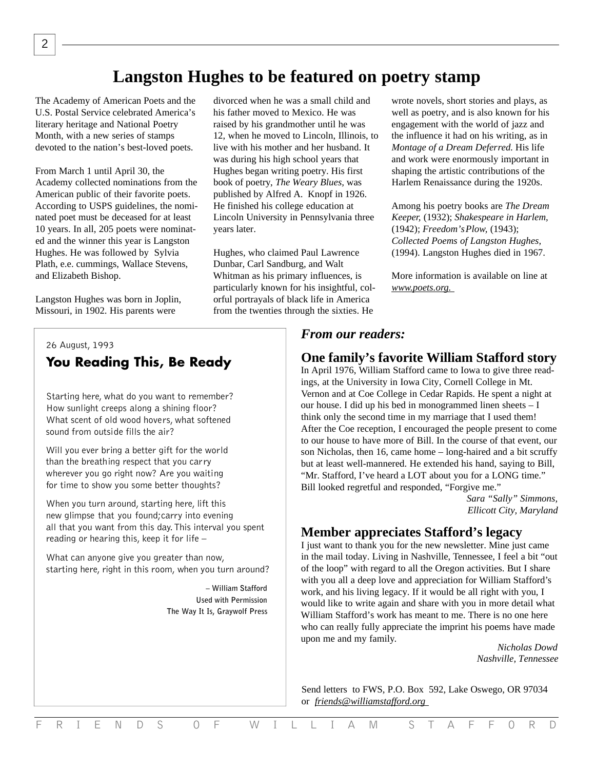# **Langston Hughes to be featured on poetry stamp**

The Academy of American Poets and the U.S. Postal Service celebrated America's literary heritage and National Poetry Month, with a new series of stamps devoted to the nation's best-loved poets.

From March 1 until April 30, the Academy collected nominations from the American public of their favorite poets. According to USPS guidelines, the nominated poet must be deceased for at least 10 years. In all, 205 poets were nominated and the winner this year is Langston Hughes. He was followed by Sylvia Plath, e.e. cummings, Wallace Stevens, and Elizabeth Bishop.

Langston Hughes was born in Joplin, Missouri, in 1902. His parents were

divorced when he was a small child and his father moved to Mexico. He was raised by his grandmother until he was 12, when he moved to Lincoln, Illinois, to live with his mother and her husband. It was during his high school years that Hughes began writing poetry. His first book of poetry, *The Weary Blues,* was published by Alfred A. Knopf in 1926. He finished his college education at Lincoln University in Pennsylvania three years later.

Hughes, who claimed Paul Lawrence Dunbar, Carl Sandburg, and Walt Whitman as his primary influences, is particularly known for his insightful, colorful portrayals of black life in America from the twenties through the sixties. He

### *26 August, 1993* **You Reading This, Be Ready**

*Starting here, what do you want to remember? How sunlight creeps along a shining floor? What scent of old wood hovers, what softened sound from outside fills the air?*

*Will you ever bring a better gift for the world than the breathing respect that you carry wherever you go right now? Are you waiting for time to show you some better thoughts?*

*When you turn around, starting here, lift this new glimpse that you found;carry into evening all that you want from this day.This interval you spent reading or hearing this, keep it for life –* 

*What can anyone give you greater than now, starting here, right in this room, when you turn around?*

> *– William Stafford Used with Permission The Way It Is, Graywolf Press*

wrote novels, short stories and plays, as well as poetry, and is also known for his engagement with the world of jazz and the influence it had on his writing, as in *Montage of a Dream Deferred.* His life and work were enormously important in shaping the artistic contributions of the Harlem Renaissance during the 1920s.

Among his poetry books are *The Dream Keeper,* (1932); *Shakespeare in Harlem,* (1942); *Freedom's Plow,* (1943); *Collected Poems of Langston Hughes,* (1994). Langston Hughes died in 1967.

More information is available on line at *www.poets.org.*

### *From our readers:*

#### **One family's favorite William Stafford story**

In April 1976, William Stafford came to Iowa to give three readings, at the University in Iowa City, Cornell College in Mt. Vernon and at Coe College in Cedar Rapids. He spent a night at our house. I did up his bed in monogrammed linen sheets – I think only the second time in my marriage that I used them! After the Coe reception, I encouraged the people present to come to our house to have more of Bill. In the course of that event, our son Nicholas, then 16, came home – long-haired and a bit scruffy but at least well-mannered. He extended his hand, saying to Bill, "Mr. Stafford, I've heard a LOT about you for a LONG time." Bill looked regretful and responded, "Forgive me."

> *Sara "Sally" Simmons, Ellicott City, Maryland*

### **Member appreciates Stafford's legacy**

I just want to thank you for the new newsletter. Mine just came in the mail today. Living in Nashville, Tennessee, I feel a bit "out of the loop" with regard to all the Oregon activities. But I share with you all a deep love and appreciation for William Stafford's work, and his living legacy. If it would be all right with you, I would like to write again and share with you in more detail what William Stafford's work has meant to me. There is no one here who can really fully appreciate the imprint his poems have made upon me and my family.

*Nicholas Dowd Nashville, Tennessee*

Send letters to FWS, P.O. Box 592, Lake Oswego, OR 97034 or *friends@williamstafford.org*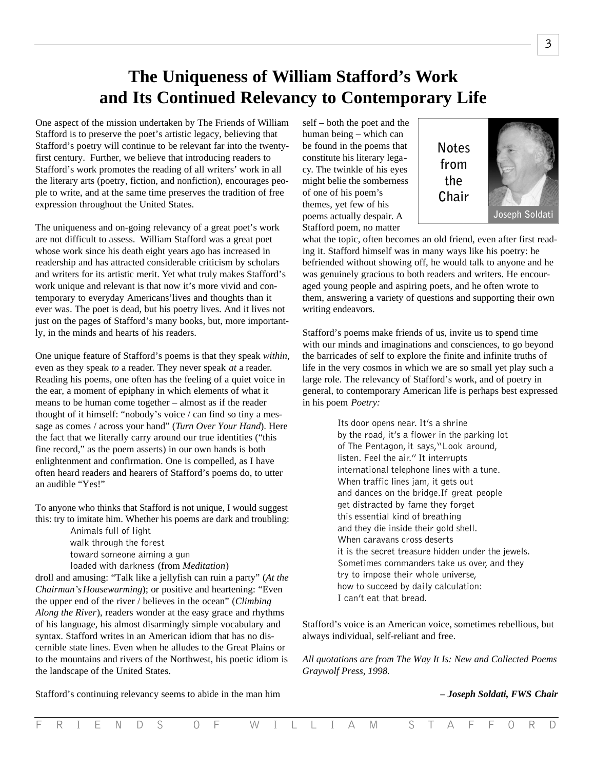# **The Uniqueness of William Stafford's Work and Its Continued Relevancy to Contemporary Life**

One aspect of the mission undertaken by The Friends of William Stafford is to preserve the poet's artistic legacy, believing that Stafford's poetry will continue to be relevant far into the twentyfirst century. Further, we believe that introducing readers to Stafford's work promotes the reading of all writers' work in all the literary arts (poetry, fiction, and nonfiction), encourages people to write, and at the same time preserves the tradition of free expression throughout the United States.

The uniqueness and on-going relevancy of a great poet's work are not difficult to assess. William Stafford was a great poet whose work since his death eight years ago has increased in readership and has attracted considerable criticism by scholars and writers for its artistic merit. Yet what truly makes Stafford's work unique and relevant is that now it's more vivid and contemporary to everyday Americans'lives and thoughts than it ever was. The poet is dead, but his poetry lives. And it lives not just on the pages of Stafford's many books, but, more importantly, in the minds and hearts of his readers.

One unique feature of Stafford's poems is that they speak *within*, even as they speak *to* a reader. They never speak *at* a reader. Reading his poems, one often has the feeling of a quiet voice in the ear, a moment of epiphany in which elements of what it means to be human come together – almost as if the reader thought of it himself: "nobody's voice / can find so tiny a message as comes / across your hand" (*Turn Over Your Hand*). Here the fact that we literally carry around our true identities ("this fine record," as the poem asserts) in our own hands is both enlightenment and confirmation. One is compelled, as I have often heard readers and hearers of Stafford's poems do, to utter an audible "Yes!"

To anyone who thinks that Stafford is not unique, I would suggest this: try to imitate him. Whether his poems are dark and troubling:

> *Animals full of light walk through the forest toward someone aiming a gun loaded with darkness* (from *Meditation*)

droll and amusing: "Talk like a jellyfish can ruin a party" (*At the Chairman's Housewarming*); or positive and heartening: "Even the upper end of the river / believes in the ocean" (*Climbing Along the River*), readers wonder at the easy grace and rhythms of his language, his almost disarmingly simple vocabulary and syntax. Stafford writes in an American idiom that has no discernible state lines. Even when he alludes to the Great Plains or to the mountains and rivers of the Northwest, his poetic idiom is the landscape of the United States.

self – both the poet and the human being – which can be found in the poems that constitute his literary legacy. The twinkle of his eyes might belie the somberness of one of his poem's themes, yet few of his poems actually despair. A Stafford poem, no matter



what the topic, often becomes an old friend, even after first reading it. Stafford himself was in many ways like his poetry: he befriended without showing off, he would talk to anyone and he was genuinely gracious to both readers and writers. He encouraged young people and aspiring poets, and he often wrote to them, answering a variety of questions and supporting their own writing endeavors.

Stafford's poems make friends of us, invite us to spend time with our minds and imaginations and consciences, to go beyond the barricades of self to explore the finite and infinite truths of life in the very cosmos in which we are so small yet play such a large role. The relevancy of Stafford's work, and of poetry in general, to contemporary American life is perhaps best expressed in his poem *Poetry:*

> *Its door opens near. It's a shrine by the road, it's a flower in the parking lot of The Pentagon,it says,"Look around, listen. Feel the air."It interrupts international telephone lines with a tune. When traffic lines jam, it gets out and dances on the bridge.If great people get distracted by fame they forget this essential kind of breathing and they die inside their gold shell. When caravans cross deserts it is the secret treasure hidden under the jewels. Sometimes commanders take us over, and they try to impose their whole universe, how to succeed by daily calculation: I can't eat that bread.*

Stafford's voice is an American voice, sometimes rebellious, but always individual, self-reliant and free.

*All quotations are from The Way It Is: New and Collected Poems Graywolf Press, 1998.*

*– Joseph Soldati, FWS Chair*

Stafford's continuing relevancy seems to abide in the man him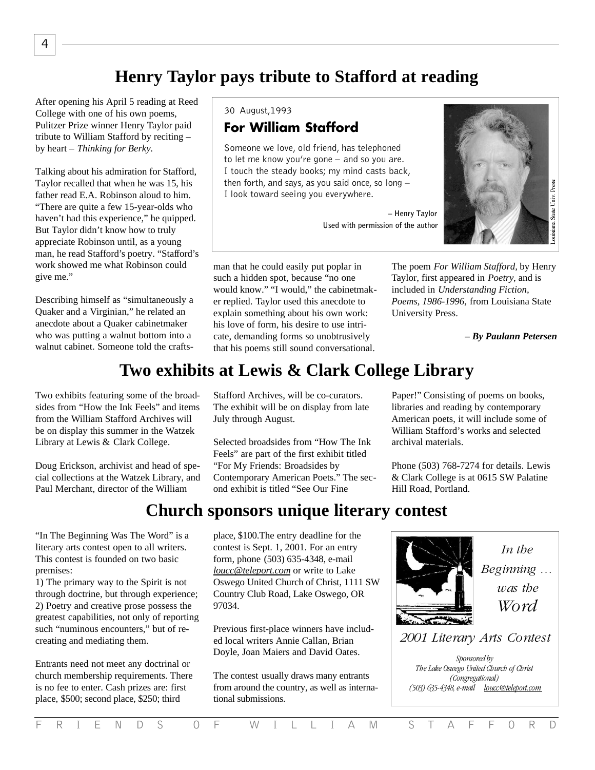# **Henry Taylor pays tribute to Stafford at reading**

After opening his April 5 reading at Reed College with one of his own poems, Pulitzer Prize winner Henry Taylor paid tribute to William Stafford by reciting – by heart – *Thinking for Berky.*

Talking about his admiration for Stafford, Taylor recalled that when he was 15, his father read E.A. Robinson aloud to him. "There are quite a few 15-year-olds who haven't had this experience," he quipped. But Taylor didn't know how to truly appreciate Robinson until, as a young man, he read Stafford's poetry. "Stafford's work showed me what Robinson could give me."

Describing himself as "simultaneously a Quaker and a Virginian," he related an anecdote about a Quaker cabinetmaker who was putting a walnut bottom into a walnut cabinet. Someone told the crafts-

Two exhibits featuring some of the broadsides from "How the Ink Feels" and items from the William Stafford Archives will be on display this summer in the Watzek Library at Lewis & Clark College.

Doug Erickson, archivist and head of special collections at the Watzek Library, and Paul Merchant, director of the William

"In The Beginning Was The Word" is a literary arts contest open to all writers. This contest is founded on two basic premises:

1) The primary way to the Spirit is not through doctrine, but through experience; 2) Poetry and creative prose possess the greatest capabilities, not only of reporting such "numinous encounters," but of recreating and mediating them.

Entrants need not meet any doctrinal or church membership requirements. There is no fee to enter. Cash prizes are: first place, \$500; second place, \$250; third

*30 August,1993*

# **For William Stafford**

*Someone we love, old friend, has telephoned to let me know you're gone – and so you are. I touch the steady books; my mind casts back, then fo rt h , and says, as you said once, so long – I look toward seeing you everywhere.*

> *– Henry Taylor Used with permission of the author*



man that he could easily put poplar in such a hidden spot, because "no one would know." "I would," the cabinetmaker replied. Taylor used this anecdote to explain something about his own work: his love of form, his desire to use intricate, demanding forms so unobtrusively that his poems still sound conversational.

The poem *For William Stafford,* by Henry Taylor, first appeared in *Poetry*, and is included in *Understanding Fiction, Poems, 1986-1996,* from Louisiana State University Press.

*– By Paulann Petersen*

# **Two exhibits at Lewis & Clark College Library**

Stafford Archives, will be co-curators. The exhibit will be on display from late July through August.

Selected broadsides from "How The Ink Feels" are part of the first exhibit titled "For My Friends: Broadsides by Contemporary American Poets." The second exhibit is titled "See Our Fine

Paper!" Consisting of poems on books, libraries and reading by contemporary American poets, it will include some of William Stafford's works and selected archival materials.

Phone (503) 768-7274 for details. Lewis & Clark College is at 0615 SW Palatine Hill Road, Portland.

# **Church sponsors unique literary contest**

place, \$100.The entry deadline for the contest is Sept. 1, 2001. For an entry form, phone (503) 635-4348, e-mail *loucc@teleport.com* or write to Lake Oswego United Church of Christ, 1111 SW Country Club Road, Lake Oswego, OR 97034.

Previous first-place winners have included local writers Annie Callan, Brian Doyle, Joan Maiers and David Oates.

The contest usually draws many entrants from around the country, as well as international submissions.



*2001 Literary Arts Contest*

*Sponsored by The Lake Oswego United Church of Christ (Congregational) (503) 635-4348, e-mail loucc@teleport.com*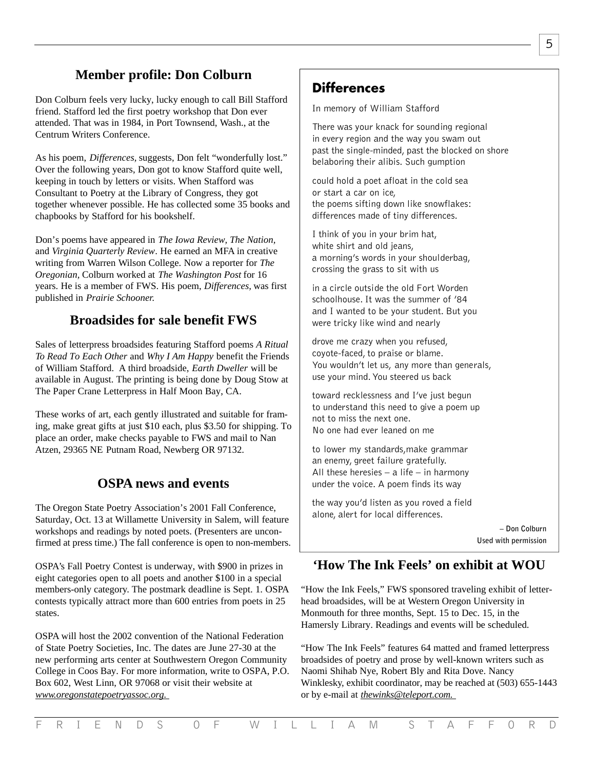# **Member profile: Don Colburn**

Don Colburn feels very lucky, lucky enough to call Bill Stafford friend. Stafford led the first poetry workshop that Don ever attended. That was in 1984, in Port Townsend, Wash., at the Centrum Writers Conference.

As his poem, *Differences,* suggests, Don felt "wonderfully lost." Over the following years, Don got to know Stafford quite well, keeping in touch by letters or visits. When Stafford was Consultant to Poetry at the Library of Congress, they got together whenever possible. He has collected some 35 books and chapbooks by Stafford for his bookshelf.

Don's poems have appeared in *The Iowa Review, The Nation,* and *Virginia Quarterly Review*. He earned an MFA in creative writing from Warren Wilson College. Now a reporter for *The Oregonian,* Colburn worked at *The Washington Post* for 16 years. He is a member of FWS. His poem, *Differences,* was first published in *Prairie Schooner.*

### **Broadsides for sale benefit FWS**

Sales of letterpress broadsides featuring Stafford poems *A Ritual To Read To Each Other* and *Why I Am Happy* benefit the Friends of William Stafford. A third broadside, *Earth Dweller* will be available in August. The printing is being done by Doug Stow at The Paper Crane Letterpress in Half Moon Bay, CA.

These works of art, each gently illustrated and suitable for framing, make great gifts at just \$10 each, plus \$3.50 for shipping. To place an order, make checks payable to FWS and mail to Nan Atzen, 29365 NE Putnam Road, Newberg OR 97132.

### **OSPA news and events**

The Oregon State Poetry Association's 2001 Fall Conference, Saturday, Oct. 13 at Willamette University in Salem, will feature workshops and readings by noted poets. (Presenters are unconfirmed at press time.) The fall conference is open to non-members.

OSPA's Fall Poetry Contest is underway, with \$900 in prizes in eight categories open to all poets and another \$100 in a special members-only category. The postmark deadline is Sept. 1. OSPA contests typically attract more than 600 entries from poets in 25 states.

OSPA will host the 2002 convention of the National Federation of State Poetry Societies, Inc. The dates are June 27-30 at the new performing arts center at Southwestern Oregon Community College in Coos Bay. For more information, write to OSPA, P.O. Box 602, West Linn, OR 97068 or visit their website at *www.oregonstatepoetryassoc.org.*

# **Differences**

*In memory of William Stafford*

*There was your knack for sounding regional in every region and the way you swam out past the single-minded, past the blocked on shore belaboring their alibis. Such gumption*

*could hold a poet afloat in the cold sea or start a car on ice, the poems sifting down like snowflakes: differences made of tiny differences.*

*I think of you in your brim hat, white shirt and old jeans, a morning's words in your shoulderbag, crossing the grass to sit with us*

*in a circle outside the old Fort Worden schoolhouse. It was the summer of '84 and I wanted to be your student. But you were tricky like wind and nearly*

*drove me crazy when you refused, coyote-faced, to praise or blame. You wouldn't let us, any more than generals, use your mind.You steered us back*

*toward recklessness and I've just begun to understand this need to give a poem up not to miss the next one. No one had ever leaned on me*

*to lower my standards,make grammar an enemy, greet failure gratefully. All these heresies – a life – in harmony under the voice. A poem finds its way*

*the way you'd listen as you roved a field alone, alert for local differences.*

> *– Don Colburn Used with permission*

## **'How The Ink Feels' on exhibit at WOU**

"How the Ink Feels," FWS sponsored traveling exhibit of letterhead broadsides, will be at Western Oregon University in Monmouth for three months, Sept. 15 to Dec. 15, in the Hamersly Library. Readings and events will be scheduled.

"How The Ink Feels" features 64 matted and framed letterpress broadsides of poetry and prose by well-known writers such as Naomi Shihab Nye, Robert Bly and Rita Dove. Nancy Winklesky, exhibit coordinator, may be reached at (503) 655-1443 or by e-mail at *thewinks@teleport.com.*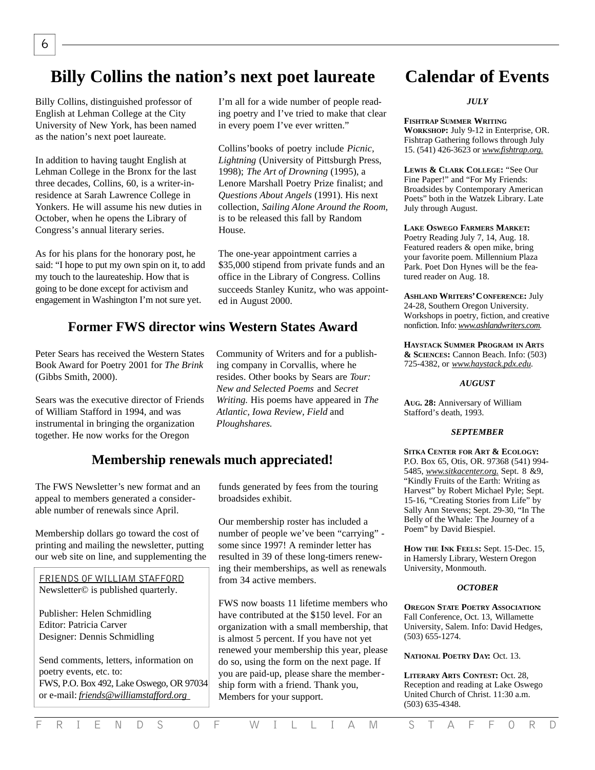# **Billy Collins the nation's next poet laureate**

Billy Collins, distinguished professor of English at Lehman College at the City University of New York, has been named as the nation's next poet laureate.

In addition to having taught English at Lehman College in the Bronx for the last three decades, Collins, 60, is a writer-inresidence at Sarah Lawrence College in Yonkers. He will assume his new duties in October, when he opens the Library of Congress's annual literary series.

As for his plans for the honorary post, he said: "I hope to put my own spin on it, to add my touch to the laureateship. How that is going to be done except for activism and engagement in Washington I'm not sure yet.

### **Former FWS director wins Western States Award**

Peter Sears has received the Western States Book Award for Poetry 2001 for *The Brink* (Gibbs Smith, 2000).

Sears was the executive director of Friends of William Stafford in 1994, and was instrumental in bringing the organization together. He now works for the Oregon

### **Membership renewals much appreciated!**

The FWS Newsletter's new format and an appeal to members generated a considerable number of renewals since April.

Membership dollars go toward the cost of printing and mailing the newsletter, putting our web site on line, and supplementing the

**FRIENDS OF WILLIAM STAFFORD** Newsletter© is published quarterly.

Publisher: Helen Schmidling Editor: Patricia Carver Designer: Dennis Schmidling

Send comments, letters, information on poetry events, etc. to: FWS, P.O. Box 492, Lake Oswego, OR 97034 or e-mail: *friends@williamstafford.org* 

I'm all for a wide number of people reading poetry and I've tried to make that clear in every poem I've ever written."

Collins'books of poetry include *Picnic, Lightning* (University of Pittsburgh Press, 1998); *The Art of Drowning* (1995), a Lenore Marshall Poetry Prize finalist; and *Questions About Angels* (1991). His next collection, *Sailing Alone Around the Room,* is to be released this fall by Random House.

The one-year appointment carries a \$35,000 stipend from private funds and an office in the Library of Congress. Collins succeeds Stanley Kunitz, who was appointed in August 2000.

Community of Writers and for a publishing company in Corvallis, where he resides. Other books by Sears are *Tour: New and Selected Poems* and *Secret Writing.* His poems have appeared in *The*

*Atlantic, Iowa Review, Field* and

*Ploughshares.*

funds generated by fees from the touring broadsides exhibit.

Our membership roster has included a number of people we've been "carrying" some since 1997! A reminder letter has resulted in 39 of these long-timers renewing their memberships, as well as renewals from 34 active members.

FWS now boasts 11 lifetime members who have contributed at the \$150 level. For an organization with a small membership, that is almost 5 percent. If you have not yet renewed your membership this year, please do so, using the form on the next page. If you are paid-up, please share the membership form with a friend. Thank you, Members for your support.

# **Calendar of Events**

#### *JULY*

#### **FISHTRAP SUMMER WRITING**

**WORKSHOP:** July 9-12 in Enterprise, OR. Fishtrap Gathering follows through July 15. (541) 426-3623 or *www.fishtrap.org.* 

**LEWIS & CLARK COLLEGE:** "See Our Fine Paper!" and "For My Friends: Broadsides by Contemporary American Poets" both in the Watzek Library. Late July through August.

**LAKE OSWEGO FARMERS MARKET:** Poetry Reading July 7, 14, Aug. 18. Featured readers & open mike, bring your favorite poem. Millennium Plaza Park. Poet Don Hynes will be the featured reader on Aug. 18.

**ASHLAND WRITERS' CONFERENCE: July** 24-28, Southern Oregon University. Workshops in poetry, fiction, and creative nonfiction. Info: www.ashlandwriters.com.

**HAYSTACK SUMMER PROGRAM IN ARTS & SCIENCES:** Cannon Beach. Info: (503) 725-4382, or *www.haystack.pdx.edu.*

#### *AUGUST*

**AUG. 28:** Anniversary of William Stafford's death, 1993.

#### *SEPTEMBER*

**SITKA CENTER FOR ART & ECOLOGY:** P.O. Box 65, Otis, OR. 97368 (541) 994- 5485, *www.sitkacenter.org.* Sept. 8 &9, "Kindly Fruits of the Earth: Writing as Harvest" by Robert Michael Pyle; Sept. 15-16, "Creating Stories from Life" by Sally Ann Stevens; Sept. 29-30, "In The Belly of the Whale: The Journey of a Poem" by David Biespiel.

**HOW THE INK FEELS:** Sept. 15-Dec. 15, in Hamersly Library, Western Oregon University, Monmouth.

#### *OCTOBER*

**OREGON STATE POETRY ASSOCIATION:** Fall Conference, Oct. 13, Willamette University, Salem. Info: David Hedges, (503) 655-1274.

**NATIONAL POETRY DAY:** Oct. 13.

**LITERARY ARTS CONTEST:** Oct. 28, Reception and reading at Lake Oswego United Church of Christ. 11:30 a.m. (503) 635-4348.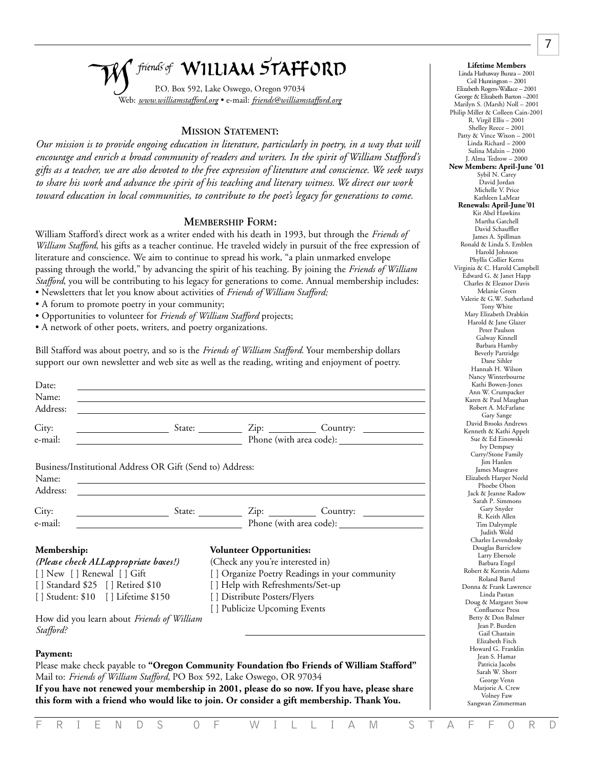# friends of WILLIAM STAFFORD

P.O. Box 592, Lake Oswego, Oregon 97034 Web: *www.williamstafford.org* • e-mail: *friends@williamstafford.org*

#### **MISSION STATEMENT:**

Our mission is to provide ongoing education in literature, particularly in poetry, in a way that will *e n c o u rage and enrich a broad community of readers and writers. In the spirit of William Stafford's* gifts as a teacher, we are also devoted to the free expression of literature and conscience. We seek ways *to share his work and advance the spirit of his teaching and literary witness. We direct our work toward education in local communities, to contribute to the poet's legacy for generations to come.*

#### **MEMBERSHIP FORM:**

William Stafford's direct work as a writer ended with his death in 1993, but through the *Friends of William Stafford*, his gifts as a teacher continue. He traveled widely in pursuit of the free expression of literature and conscience. We aim to continue to spread his work, "a plain unmarked envelope passing through the world," by advancing the spirit of his teaching. By joining the *Friends of William Stafford*, you will be contributing to his legacy for generations to come. Annual membership includes: • Newsletters that let you know about activities of *Friends of William Stafford;*

- A forum to promote poetry in your community;
- Opportunities to volunteer for *Friends of William Stafford* projects;
- A network of other poets, writers, and poetry organizations.

Bill Stafford was about poetry, and so is the *Friends of William Stafford.* Your membership dollars support our own newsletter and web site as well as the reading, writing and enjoyment of poetry.

| Date:<br>Name:<br>Address:                                                                                                                                                                                              |                                                                                                                                                                                                                                                                                         |
|-------------------------------------------------------------------------------------------------------------------------------------------------------------------------------------------------------------------------|-----------------------------------------------------------------------------------------------------------------------------------------------------------------------------------------------------------------------------------------------------------------------------------------|
| City:<br>e-mail:                                                                                                                                                                                                        | Phone (with area code):                                                                                                                                                                                                                                                                 |
| Business/Institutional Address OR Gift (Send to) Address:<br>Name:<br>Address:                                                                                                                                          |                                                                                                                                                                                                                                                                                         |
| City:                                                                                                                                                                                                                   | <b>Example 2018</b> State: <u>Country: Country: Country: 21</u>                                                                                                                                                                                                                         |
| e-mail:                                                                                                                                                                                                                 | Phone (with area code):                                                                                                                                                                                                                                                                 |
| Membership:<br>(Please check ALLappropriate boxes!)<br>[] New [] Renewal [] Gift<br>[] Standard \$25 [] Retired \$10<br>[ ] Student: \$10 [ ] Lifetime \$150<br>How did you learn about Friends of William<br>Stafford? | <b>Volunteer Opportunities:</b><br>(Check any you're interested in)<br>[] Organize Poetry Readings in your community<br>[] Help with Refreshments/Set-up<br>[] Distribute Posters/Flyers<br>[] Publicize Upcoming Events                                                                |
| Payment:<br>Mail to: Friends of William Stafford, PO Box 592, Lake Oswego, OR 97034                                                                                                                                     | Please make check payable to "Oregon Community Foundation fbo Friends of William Stafford"<br>If you have not renewed your membership in 2001, please do so now. If you have, please share<br>this form with a friend who would like to join. Or consider a gift membership. Thank You. |

#### Linda Hathaway Bunza – 2001 Ceil Huntington – 2001 Elizabeth Rogers-Wallace - 2001 George & Elizabeth Barton -2001 Marilyn S. (Marsh) Noll – 2001 Philip Miller & Colleen Cain-2001 R. Virgil Ellis – 2001 Shelley Reece – 2001 Patty & Vince Wixon - 2001 Linda Richard – 2000 Sulina Malzin – 2000 J. Alma Tedrow – 2000 **New Members: April-June '01** Sybil N. Carey David Jordan Michelle V. Price Kathleen LaMear **Renewals: April-June '01** Kit Abel Hawkins Martha Gatchell David Schauffler James A. Spillman Ronald & Linda S. Emblen Harold Johnson Phyllis Collier Kerns Virginia & C. Harold Campbell Edward G. & Janet Happ Charles & Eleanor Davis Melanie Green Valerie & G.W. Sutherland Tony White Mary Elizabeth Drabkin Harold & Jane Glazer Peter Paulson Galway Kinnell Barbara Hamby Beverly Partridge Dane Sihler Hannah H. Wilson Nancy Winterbourne Kathi Bowen-Jones Ann W. Crumpacker Karen & Paul Maughan Robert A. McFarlane Gary Sange David Brooks Andrews Kenneth & Kathi Appelt Sue & Ed Einowski Ivy Dempsey Curry/Stone Family Jim Hanlen James Musgrave Elizabeth Harper Neeld Phoebe Olson Jack & Jeanne Radow Sarah P. Simmons Gary Snyder R. Keith Allen Tim Dalrymple Judith Wold Charles Levendosky Douglas Barriclow Larry Ebersole Barbara Engel Robert & Kerstin Adams Roland Bartel Donna & Frank Lawrence Linda Pastan Doug & Margaret Stow Confluence Press Betty & Don Balmer Jean P. Burden Gail Chastain Elizabeth Fitch Howard G. Franklin Jean S. Hamar Patricia Jacobs Sarah W. Shorr George Venn Mariorie A. Crew

Volney Faw Sangwan Zimmerman *7*

**Lifetime Members**